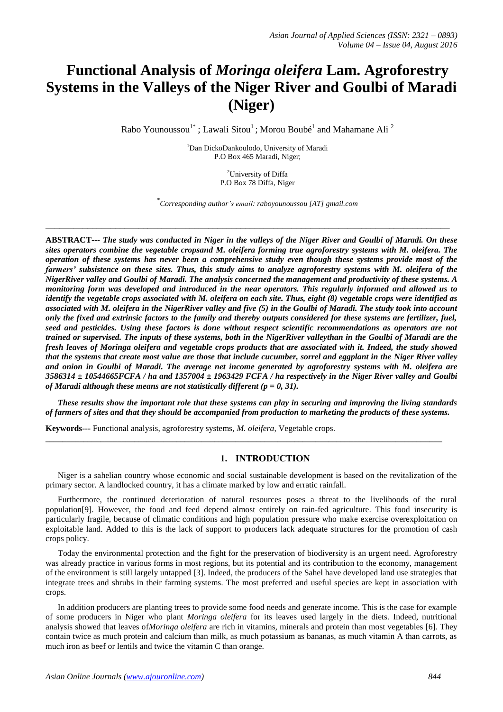# **Functional Analysis of** *Moringa oleifera* **Lam. Agroforestry Systems in the Valleys of the Niger River and Goulbi of Maradi (Niger)**

Rabo Younoussou<sup>1\*</sup>; Lawali Sitou<sup>1</sup>; Morou Boubé<sup>1</sup> and Mahamane Ali<sup>2</sup>

<sup>1</sup>Dan DickoDankoulodo, University of Maradi P.O Box 465 Maradi, Niger;

> <sup>2</sup>University of Diffa P.O Box 78 Diffa, Niger

\* *Corresponding author's email: raboyounoussou [AT] gmail.com*

\_\_\_\_\_\_\_\_\_\_\_\_\_\_\_\_\_\_\_\_\_\_\_\_\_\_\_\_\_\_\_\_\_\_\_\_\_\_\_\_\_\_\_\_\_\_\_\_\_\_\_\_\_\_\_\_\_\_\_\_\_\_\_\_\_\_\_\_\_\_\_\_\_\_\_\_\_\_\_\_\_\_\_\_\_\_\_

**ABSTRACT---** *The study was conducted in Niger in the valleys of the Niger River and Goulbi of Maradi. On these sites operators combine the vegetable cropsand M. oleifera forming true agroforestry systems with M. oleifera. The operation of these systems has never been a comprehensive study even though these systems provide most of the farmers' subsistence on these sites. Thus, this study aims to analyze agroforestry systems with M. oleifera of the NigerRiver valley and Goulbi of Maradi. The analysis concerned the management and productivity of these systems. A monitoring form was developed and introduced in the near operators. This regularly informed and allowed us to identify the vegetable crops associated with M. oleifera on each site. Thus, eight (8) vegetable crops were identified as associated with M. oleifera in the NigerRiver valley and five (5) in the Goulbi of Maradi. The study took into account only the fixed and extrinsic factors to the family and thereby outputs considered for these systems are fertilizer, fuel, seed and pesticides. Using these factors is done without respect scientific recommendations as operators are not trained or supervised. The inputs of these systems, both in the NigerRiver valleythan in the Goulbi of Maradi are the fresh leaves of Moringa oleifera and vegetable crops products that are associated with it. Indeed, the study showed that the systems that create most value are those that include cucumber, sorrel and eggplant in the Niger River valley and onion in Goulbi of Maradi. The average net income generated by agroforestry systems with M. oleifera are 3586314 ± 10544665FCFA / ha and 1357004 ± 1963429 FCFA / ha respectively in the Niger River valley and Goulbi of Maradi although these means are not statistically different (p = 0, 31).*

*These results show the important role that these systems can play in securing and improving the living standards of farmers of sites and that they should be accompanied from production to marketing the products of these systems.*

\_\_\_\_\_\_\_\_\_\_\_\_\_\_\_\_\_\_\_\_\_\_\_\_\_\_\_\_\_\_\_\_\_\_\_\_\_\_\_\_\_\_\_\_\_\_\_\_\_\_\_\_\_\_\_\_\_\_\_\_\_\_\_\_\_\_\_\_\_\_\_\_\_\_\_\_\_\_\_\_\_\_\_\_\_\_\_\_\_\_\_\_\_\_

**Keywords---** Functional analysis, agroforestry systems, *M. oleifera*, Vegetable crops.

# **1. INTRODUCTION**

Niger is a sahelian country whose economic and social sustainable development is based on the revitalization of the primary sector. A landlocked country, it has a climate marked by low and erratic rainfall.

Furthermore, the continued deterioration of natural resources poses a threat to the livelihoods of the rural population[9]. However, the food and feed depend almost entirely on rain-fed agriculture. This food insecurity is particularly fragile, because of climatic conditions and high population pressure who make exercise overexploitation on exploitable land. Added to this is the lack of support to producers lack adequate structures for the promotion of cash crops policy.

Today the environmental protection and the fight for the preservation of biodiversity is an urgent need. Agroforestry was already practice in various forms in most regions, but its potential and its contribution to the economy, management of the environment is still largely untapped [3]. Indeed, the producers of the Sahel have developed land use strategies that integrate trees and shrubs in their farming systems. The most preferred and useful species are kept in association with crops.

In addition producers are planting trees to provide some food needs and generate income. This is the case for example of some producers in Niger who plant *Moringa oleifera* for its leaves used largely in the diets. Indeed, nutritional analysis showed that leaves of*Moringa oleifera* are rich in vitamins, minerals and protein than most vegetables [6]. They contain twice as much protein and calcium than milk, as much potassium as bananas, as much vitamin A than carrots, as much iron as beef or lentils and twice the vitamin C than orange.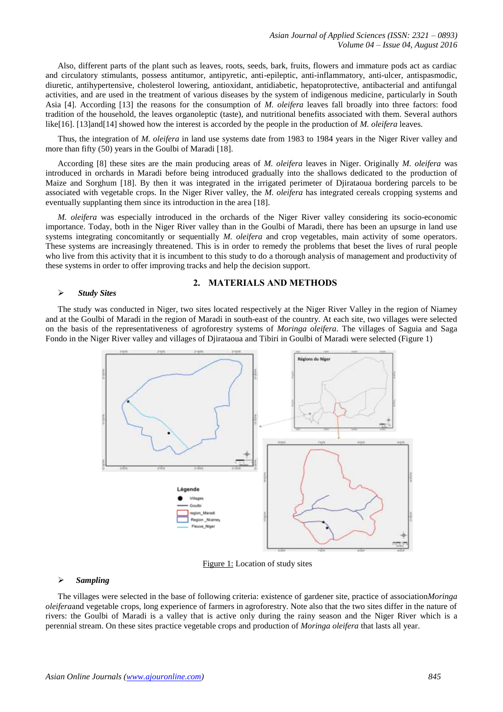Also, different parts of the plant such as leaves, roots, seeds, bark, fruits, flowers and immature pods act as cardiac and circulatory stimulants, possess antitumor, antipyretic, anti-epileptic, anti-inflammatory, anti-ulcer, antispasmodic, diuretic, antihypertensive, cholesterol lowering, antioxidant, antidiabetic, hepatoprotective, antibacterial and antifungal activities, and are used in the treatment of various diseases by the system of indigenous medicine, particularly in South Asia [4]. According [13] the reasons for the consumption of *M. oleifera* leaves fall broadly into three factors: food tradition of the household, the leaves organoleptic (taste), and nutritional benefits associated with them. Several authors like[16]. [13]and[14] showed how the interest is accorded by the people in the production of *M. oleifera* leaves.

Thus, the integration of *M. oleifera* in land use systems date from 1983 to 1984 years in the Niger River valley and more than fifty (50) years in the Goulbi of Maradi [18].

According [8] these sites are the main producing areas of *M. oleifera* leaves in Niger. Originally *M. oleifera* was introduced in orchards in Maradi before being introduced gradually into the shallows dedicated to the production of Maize and Sorghum [18]. By then it was integrated in the irrigated perimeter of Djirataoua bordering parcels to be associated with vegetable crops. In the Niger River valley, the *M. oleifera* has integrated cereals cropping systems and eventually supplanting them since its introduction in the area [18].

*M. oleifera* was especially introduced in the orchards of the Niger River valley considering its socio-economic importance. Today, both in the Niger River valley than in the Goulbi of Maradi, there has been an upsurge in land use systems integrating concomitantly or sequentially *M. oleifera* and crop vegetables, main activity of some operators. These systems are increasingly threatened. This is in order to remedy the problems that beset the lives of rural people who live from this activity that it is incumbent to this study to do a thorough analysis of management and productivity of these systems in order to offer improving tracks and help the decision support.

#### *Study Sites*

## **2. MATERIALS AND METHODS**

The study was conducted in Niger, two sites located respectively at the Niger River Valley in the region of Niamey and at the Goulbi of Maradi in the region of Maradi in south-east of the country. At each site, two villages were selected on the basis of the representativeness of agroforestry systems of *Moringa oleifera*. The villages of Saguia and Saga Fondo in the Niger River valley and villages of Djirataoua and Tibiri in Goulbi of Maradi were selected (Figure 1)



Figure 1: Location of study sites

## *Sampling*

The villages were selected in the base of following criteria: existence of gardener site, practice of association*Moringa oleifera*and vegetable crops, long experience of farmers in agroforestry. Note also that the two sites differ in the nature of rivers: the Goulbi of Maradi is a valley that is active only during the rainy season and the Niger River which is a perennial stream. On these sites practice vegetable crops and production of *Moringa oleifera* that lasts all year.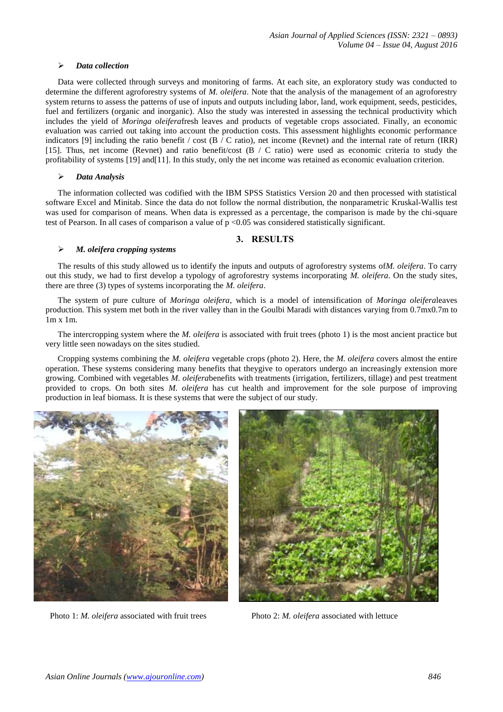## *Data collection*

Data were collected through surveys and monitoring of farms. At each site, an exploratory study was conducted to determine the different agroforestry systems of *M. oleifera*. Note that the analysis of the management of an agroforestry system returns to assess the patterns of use of inputs and outputs including labor, land, work equipment, seeds, pesticides, fuel and fertilizers (organic and inorganic). Also the study was interested in assessing the technical productivity which includes the yield of *Moringa oleifera*fresh leaves and products of vegetable crops associated. Finally, an economic evaluation was carried out taking into account the production costs. This assessment highlights economic performance indicators [9] including the ratio benefit / cost  $(B / C$  ratio), net income (Revnet) and the internal rate of return (IRR) [15]. Thus, net income (Revnet) and ratio benefit/cost (B / C ratio) were used as economic criteria to study the profitability of systems [19] and[11]. In this study, only the net income was retained as economic evaluation criterion.

#### *Data Analysis*

The information collected was codified with the IBM SPSS Statistics Version 20 and then processed with statistical software Excel and Minitab. Since the data do not follow the normal distribution, the nonparametric Kruskal-Wallis test was used for comparison of means. When data is expressed as a percentage, the comparison is made by the chi-square test of Pearson. In all cases of comparison a value of  $p \le 0.05$  was considered statistically significant.

## **3. RESULTS**

## *M. oleifera cropping systems*

The results of this study allowed us to identify the inputs and outputs of agroforestry systems of*M. oleifera*. To carry out this study, we had to first develop a typology of agroforestry systems incorporating *M. oleifera*. On the study sites, there are three (3) types of systems incorporating the *M. oleifera*.

The system of pure culture of *Moringa oleifera*, which is a model of intensification of *Moringa oleifera*leaves production. This system met both in the river valley than in the Goulbi Maradi with distances varying from 0.7mx0.7m to 1m x 1m.

The intercropping system where the *M. oleifera* is associated with fruit trees (photo 1) is the most ancient practice but very little seen nowadays on the sites studied.

Cropping systems combining the *M. oleifera* vegetable crops (photo 2). Here, the *M. oleifera* covers almost the entire operation. These systems considering many benefits that theygive to operators undergo an increasingly extension more growing. Combined with vegetables *M. oleifera*benefits with treatments (irrigation, fertilizers, tillage) and pest treatment provided to crops. On both sites *M. oleifera* has cut health and improvement for the sole purpose of improving production in leaf biomass. It is these systems that were the subject of our study.



Photo 1: *M. oleifera* associated with fruit trees Photo 2: *M. oleifera* associated with lettuce

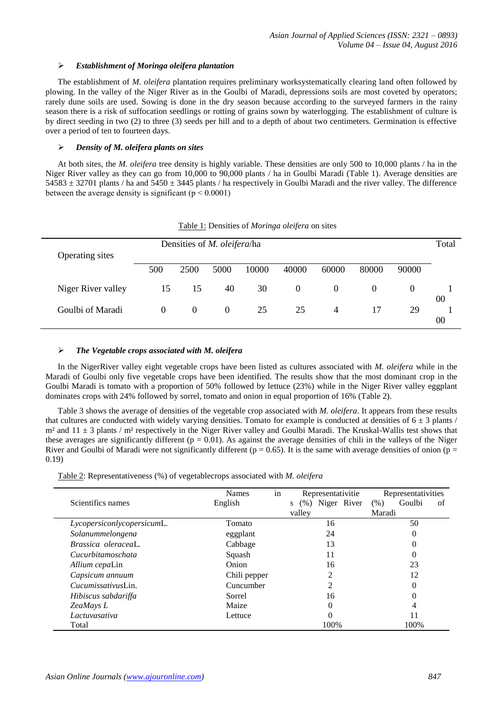## *Establishment of Moringa oleifera plantation*

The establishment of *M. oleifera* plantation requires preliminary worksystematically clearing land often followed by plowing. In the valley of the Niger River as in the Goulbi of Maradi, depressions soils are most coveted by operators; rarely dune soils are used. Sowing is done in the dry season because according to the surveyed farmers in the rainy season there is a risk of suffocation seedlings or rotting of grains sown by waterlogging. The establishment of culture is by direct seeding in two (2) to three (3) seeds per hill and to a depth of about two centimeters. Germination is effective over a period of ten to fourteen days.

## *Density of M. oleifera plants on sites*

At both sites, the *M. oleifera* tree density is highly variable. These densities are only 500 to 10,000 plants / ha in the Niger River valley as they can go from 10,000 to 90,000 plants / ha in Goulbi Maradi (Table 1). Average densities are  $54583 \pm 32701$  plants / ha and  $5450 \pm 3445$  plants / ha respectively in Goulbi Maradi and the river valley. The difference between the average density is significant ( $p < 0.0001$ )

| I avie 1. Densities of <i>mortingu overferg</i> on sites |                                     |          |          |       |                |          |          |          |       |
|----------------------------------------------------------|-------------------------------------|----------|----------|-------|----------------|----------|----------|----------|-------|
| Operating sites                                          | Densities of <i>M. oleifera</i> /ha |          |          |       |                |          |          |          | Total |
|                                                          | 500                                 | 2500     | 5000     | 10000 | 40000          | 60000    | 80000    | 90000    |       |
| Niger River valley                                       | 15                                  | 15       | 40       | 30    | $\overline{0}$ | $\theta$ | $\Omega$ | $\theta$ | 00    |
| Goulbi of Maradi                                         | $\Omega$                            | $\Omega$ | $\theta$ | 25    | 25             | 4        | 17       | 29       | 00    |

Table 1: Densities of *Moringa oleifera* on sites

## *The Vegetable crops associated with M. oleifera*

In the NigerRiver valley eight vegetable crops have been listed as cultures associated with *M. oleifera* while in the Maradi of Goulbi only five vegetable crops have been identified. The results show that the most dominant crop in the Goulbi Maradi is tomato with a proportion of 50% followed by lettuce (23%) while in the Niger River valley eggplant dominates crops with 24% followed by sorrel, tomato and onion in equal proportion of 16% (Table 2).

Table 3 shows the average of densities of the vegetable crop associated with *M. oleifera*. It appears from these results that cultures are conducted with widely varying densities. Tomato for example is conducted at densities of  $6 \pm 3$  plants /  $m<sup>2</sup>$  and  $11 \pm 3$  plants /  $m<sup>2</sup>$  respectively in the Niger River valley and Goulbi Maradi. The Kruskal-Wallis test shows that these averages are significantly different ( $p = 0.01$ ). As against the average densities of chili in the valleys of the Niger River and Goulbi of Maradi were not significantly different ( $p = 0.65$ ). It is the same with average densities of onion ( $p =$ 0.19)

|                            | <b>Names</b> | in | Representativitie     | Representativities   |  |  |
|----------------------------|--------------|----|-----------------------|----------------------|--|--|
| Scientifics names          | English      |    | (%) Niger River<br>S. | Goulbi<br>(% )<br>of |  |  |
|                            |              |    | valley                | Maradi               |  |  |
| LycopersiconlycopersicumL. | Tomato       |    | 16                    | 50                   |  |  |
| Solanummelongena           | eggplant     |    | 24                    | 0                    |  |  |
| Brassica oleraceal.        | Cabbage      |    | 13                    | 0                    |  |  |
| Cucurbitamoschata          | Squash       |    | 11                    | 0                    |  |  |
| Allium cepaLin             | Onion        |    | 16                    | 23                   |  |  |
| Capsicum annuum            | Chili pepper |    | 2                     | 12                   |  |  |
| <i>Cucumissativus</i> Lin. | Cuncumber    |    | ↑                     | 0                    |  |  |
| Hibiscus sabdariffa        | Sorrel       |    | 16                    | 0                    |  |  |
| ZeaMays L                  | Maize        |    | 0                     | 4                    |  |  |
| Lactuvasativa              | Lettuce      |    | 0                     | 11                   |  |  |
| Total                      |              |    | 100%                  | 100%                 |  |  |

Table 2: Representativeness (%) of vegetablecrops associated with *M. oleifera*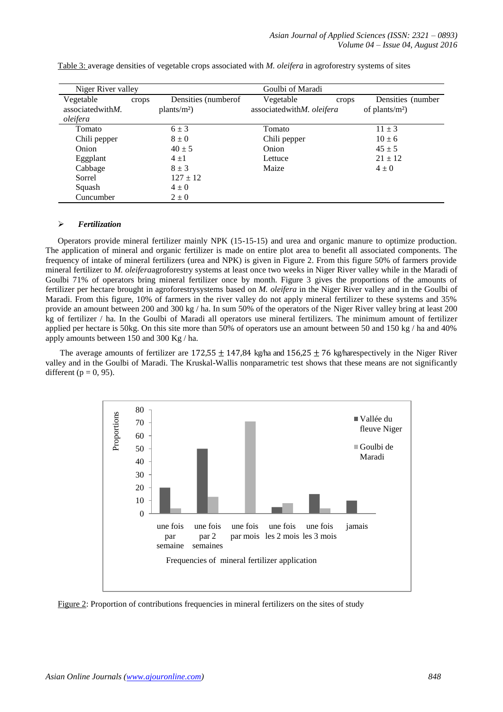| Niger River valley    |       |                      | Goulbi of Maradi          |       |                    |
|-----------------------|-------|----------------------|---------------------------|-------|--------------------|
| Vegetable             | crops | Densities (number of | Vegetable                 | crops | Densities (number) |
| associated with $M$ . |       | $plants/m2$ )        | associatedwithM. oleifera |       | of plants/ $m2$ )  |
| oleifera              |       |                      |                           |       |                    |
| Tomato                |       | $6 \pm 3$            | Tomato                    |       | $11 \pm 3$         |
| Chili pepper          |       | $8 \pm 0$            | Chili pepper              |       | $10 \pm 6$         |
| Onion                 |       | $40 \pm 5$           | Onion                     |       | $45 \pm 5$         |
| Eggplant              |       | $4 \pm 1$            | Lettuce                   |       | $21 \pm 12$        |
| Cabbage               |       | $8 + 3$              | Maize                     |       | $4\pm 0$           |
| Sorrel                |       | $127 \pm 12$         |                           |       |                    |
| Squash                |       | $4\pm0$              |                           |       |                    |
| Cuncumber             |       | $2\pm 0$             |                           |       |                    |

Table 3: average densities of vegetable crops associated with *M. oleifera* in agroforestry systems of sites

## *Fertilization*

Operators provide mineral fertilizer mainly NPK (15-15-15) and urea and organic manure to optimize production. The application of mineral and organic fertilizer is made on entire plot area to benefit all associated components. The frequency of intake of mineral fertilizers (urea and NPK) is given in Figure 2. From this figure 50% of farmers provide mineral fertilizer to *M. oleifera*agroforestry systems at least once two weeks in Niger River valley while in the Maradi of Goulbi 71% of operators bring mineral fertilizer once by month. Figure 3 gives the proportions of the amounts of fertilizer per hectare brought in agroforestrysystems based on *M. oleifera* in the Niger River valley and in the Goulbi of Maradi. From this figure, 10% of farmers in the river valley do not apply mineral fertilizer to these systems and 35% provide an amount between 200 and 300 kg / ha. In sum 50% of the operators of the Niger River valley bring at least 200 kg of fertilizer / ha. In the Goulbi of Maradi all operators use mineral fertilizers. The minimum amount of fertilizer applied per hectare is 50kg. On this site more than 50% of operators use an amount between 50 and 150 kg / ha and 40% apply amounts between 150 and 300 Kg / ha.

The average amounts of fertilizer are  $172,55 \pm 147,84$  kg/ha and  $156,25 \pm 76$  kg/harespectively in the Niger River valley and in the Goulbi of Maradi. The Kruskal-Wallis nonparametric test shows that these means are not significantly different ( $p = 0$ , 95).



Figure 2: Proportion of contributions frequencies in mineral fertilizers on the sites of study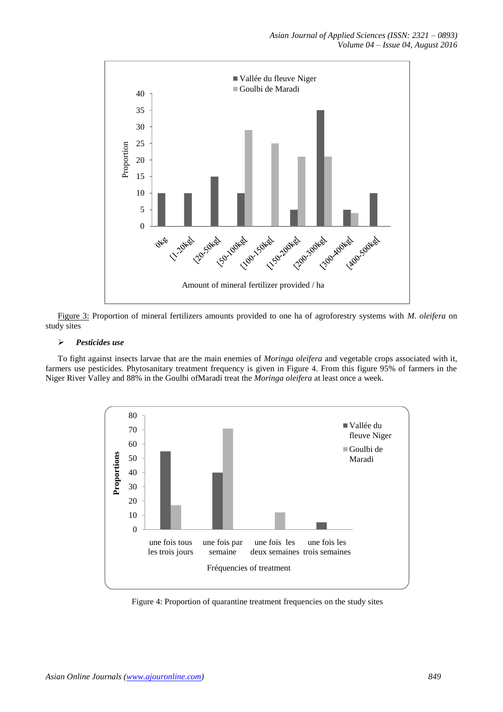

Figure 3: Proportion of mineral fertilizers amounts provided to one ha of agroforestry systems with *M. oleifera* on study sites

## *Pesticides use*

To fight against insects larvae that are the main enemies of *Moringa oleifera* and vegetable crops associated with it, farmers use pesticides. Phytosanitary treatment frequency is given in Figure 4. From this figure 95% of farmers in the Niger River Valley and 88% in the Goulbi ofMaradi treat the *Moringa oleifera* at least once a week.



Figure 4: Proportion of quarantine treatment frequencies on the study sites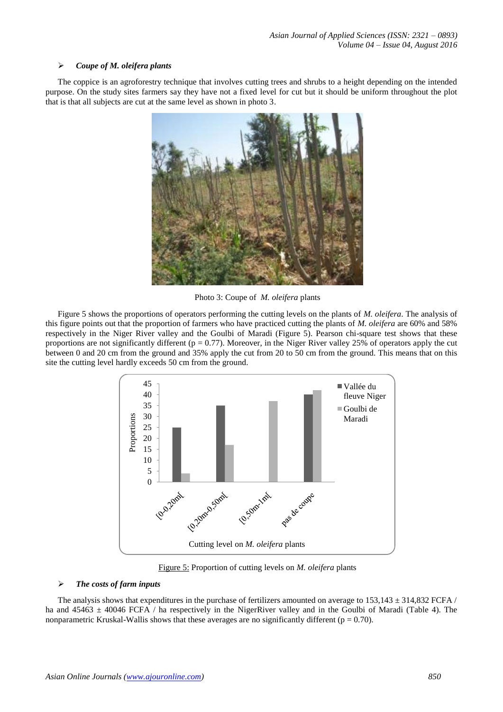## *Coupe of M. oleifera plants*

The coppice is an agroforestry technique that involves cutting trees and shrubs to a height depending on the intended purpose. On the study sites farmers say they have not a fixed level for cut but it should be uniform throughout the plot that is that all subjects are cut at the same level as shown in photo 3.



Photo 3: Coupe of *M. oleifera* plants

Figure 5 shows the proportions of operators performing the cutting levels on the plants of *M. oleifera*. The analysis of this figure points out that the proportion of farmers who have practiced cutting the plants of *M. oleifera* are 60% and 58% respectively in the Niger River valley and the Goulbi of Maradi (Figure 5). Pearson chi-square test shows that these proportions are not significantly different ( $p = 0.77$ ). Moreover, in the Niger River valley 25% of operators apply the cut between 0 and 20 cm from the ground and 35% apply the cut from 20 to 50 cm from the ground. This means that on this site the cutting level hardly exceeds 50 cm from the ground.



Figure 5: Proportion of cutting levels on *M. oleifera* plants

## *The costs of farm inputs*

The analysis shows that expenditures in the purchase of fertilizers amounted on average to  $153,143 \pm 314,832$  FCFA / ha and  $45463 \pm 40046$  FCFA / ha respectively in the NigerRiver valley and in the Goulbi of Maradi (Table 4). The nonparametric Kruskal-Wallis shows that these averages are no significantly different ( $p = 0.70$ ).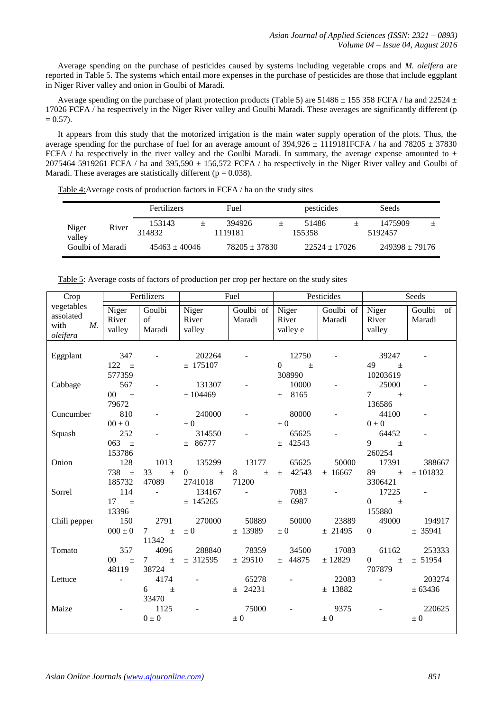Average spending on the purchase of pesticides caused by systems including vegetable crops and *M. oleifera* are reported in Table 5. The systems which entail more expenses in the purchase of pesticides are those that include eggplant in Niger River valley and onion in Goulbi of Maradi.

Average spending on the purchase of plant protection products (Table 5) are 51486  $\pm$  155 358 FCFA / ha and 22524  $\pm$ 17026 FCFA / ha respectively in the Niger River valley and Goulbi Maradi. These averages are significantly different (p  $= 0.57$ ).

It appears from this study that the motorized irrigation is the main water supply operation of the plots. Thus, the average spending for the purchase of fuel for an average amount of  $394,926 \pm 1119181$  FCFA / ha and  $78205 \pm 37830$ FCFA / ha respectively in the river valley and the Goulbi Maradi. In summary, the average expense amounted to  $\pm$ 2075464 5919261 FCFA / ha and 395,590  $\pm$  156,572 FCFA / ha respectively in the Niger River valley and Goulbi of Maradi. These averages are statistically different ( $p = 0.038$ ).

|                  |       | Fertilizers       | Fuel              | pesticides      | Seeds              |  |
|------------------|-------|-------------------|-------------------|-----------------|--------------------|--|
| Niger<br>valley  | River | 153143<br>314832  | 394926<br>1119181 | 51486<br>155358 | 1475909<br>5192457 |  |
| Goulbi of Maradi |       | $45463 \pm 40046$ | $78205 + 37830$   | $22524 + 17026$ | $249398 + 79176$   |  |

Table 4:Average costs of production factors in FCFA / ha on the study sites

| Crop                                                       |                                           | Fertilizers                                        |                                   | Fuel                  |                               | Pesticides               |                                                         | Seeds                  |
|------------------------------------------------------------|-------------------------------------------|----------------------------------------------------|-----------------------------------|-----------------------|-------------------------------|--------------------------|---------------------------------------------------------|------------------------|
| vegetables<br>assoiated<br>with<br>$M_{\cdot}$<br>oleifera | Niger<br>River<br>valley                  | Goulbi<br>of<br>Maradi                             | Niger<br>River<br>valley          | Goulbi of<br>Maradi   | Niger<br>River<br>valley e    | Goulbi of<br>Maradi      | Niger<br>River<br>valley                                | Goulbi<br>of<br>Maradi |
| Eggplant                                                   | 347<br>122 $\pm$                          |                                                    | 202264<br>± 175107                |                       | 12750<br>$\Omega$<br>$\pm$    | $\overline{\phantom{a}}$ | 39247<br>49<br>$\pm$                                    |                        |
| Cabbage                                                    | 577359<br>567<br>$00\,$<br>$\pm$<br>79672 |                                                    | 131307<br>± 104469                |                       | 308990<br>10000<br>$\pm$ 8165 | $\overline{\phantom{a}}$ | 10203619<br>25000<br>$7\overline{ }$<br>$\pm$<br>136586 |                        |
| Cuncumber                                                  | 810<br>$00\pm0$                           |                                                    | 240000<br>$\pm 0$                 |                       | 80000<br>$\pm 0$              | $\overline{\phantom{a}}$ | 44100<br>$0\pm 0$                                       |                        |
| Squash                                                     | 252<br>063 $\pm$                          |                                                    | 314550<br>± 86777                 |                       | 65625<br>$±$ 42543            | $\overline{\phantom{a}}$ | 64452<br>9<br>$\pm$                                     |                        |
| Onion                                                      | 153786<br>128<br>738 $\pm$                | 1013<br>33<br>$\pm$                                | 135299<br>$\overline{0}$<br>$\pm$ | 13177<br>8<br>$\pm$   | 65625<br>$\pm$ 42543          | 50000<br>± 16667         | 260254<br>17391<br>89<br>$\pm$                          | 388667<br>± 101832     |
| Sorrel                                                     | 185732<br>114<br>17<br>$\pm$              | 47089<br>$\overline{\phantom{a}}$                  | 2741018<br>134167<br>$±$ 145265   | 71200<br>$\mathbf{r}$ | 7083<br>± 6987                |                          | 3306421<br>17225<br>$\overline{0}$<br>$\pm$             |                        |
| Chili pepper                                               | 13396<br>150<br>$000 \pm 0$               | 2791<br>$7\overline{ }$<br>$\pm$                   | 270000<br>$\pm 0$                 | 50889<br>$±$ 13989    | 50000<br>$\pm 0$              | 23889<br>± 21495         | 155880<br>49000<br>$\Omega$                             | 194917<br>± 35941      |
| Tomato                                                     | 357<br>$00\,$<br>$\pm$<br>48119           | 11342<br>4096<br>$7\overline{ }$<br>$\pm$<br>38724 | 288840<br>± 312595                | 78359<br>± 29510      | 34500<br>$±$ 44875            | 17083<br>$\pm$ 12829     | 61162<br>$\overline{0}$<br>$\pm$<br>707879              | 253333<br>± 51954      |
| Lettuce                                                    | $\overline{\phantom{a}}$                  | 4174<br>6<br>$\pm$                                 |                                   | 65278<br>$±$ 24231    |                               | 22083<br>$±$ 13882       | $\blacksquare$                                          | 203274<br>± 63436      |
| Maize                                                      |                                           | 33470<br>1125<br>$0\pm0$                           |                                   | 75000<br>$\pm 0$      |                               | 9375<br>$\pm 0$          |                                                         | 220625<br>$\pm 0$      |
|                                                            |                                           |                                                    |                                   |                       |                               |                          |                                                         |                        |

Table 5: Average costs of factors of production per crop per hectare on the study sites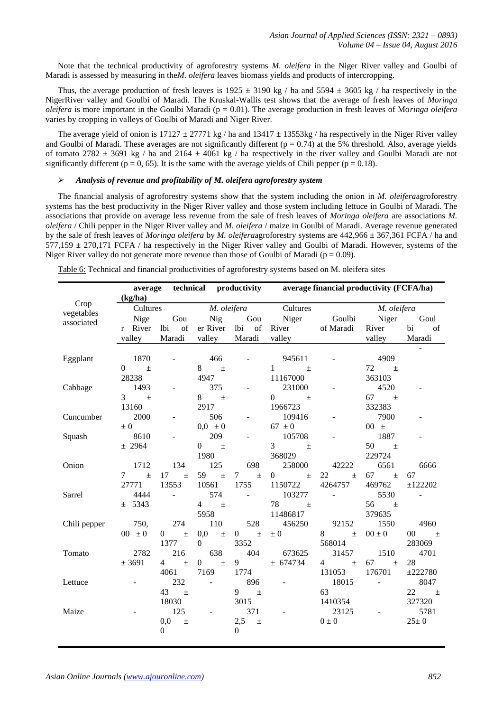Note that the technical productivity of agroforestry systems *M. oleifera* in the Niger River valley and Goulbi of Maradi is assessed by measuring in the*M. oleifera* leaves biomass yields and products of intercropping.

Thus, the average production of fresh leaves is  $1925 \pm 3190$  kg / ha and  $5594 \pm 3605$  kg / ha respectively in the NigerRiver valley and Goulbi of Maradi. The Kruskal-Wallis test shows that the average of fresh leaves of *Moringa oleifera* is more important in the Goulbi Maradi (p = 0.01). The average production in fresh leaves of Mo*ringa oleifera*  varies by cropping in valleys of Goulbi of Maradi and Niger River.

The average yield of onion is  $17127 \pm 27771$  kg / ha and  $13417 \pm 13553$  kg / ha respectively in the Niger River valley and Goulbi of Maradi. These averages are not significantly different ( $p = 0.74$ ) at the 5% threshold. Also, average yields of tomato 2782  $\pm$  3691 kg / ha and 2164  $\pm$  4061 kg / ha respectively in the river valley and Goulbi Maradi are not significantly different ( $p = 0$ , 65). It is the same with the average yields of Chili pepper ( $p = 0.18$ ).

## *Analysis of revenue and profitability of M. oleifera agroforestry system*

The financial analysis of agroforestry systems show that the system including the onion in *M. oleifera*agroforestry systems has the best productivity in the Niger River valley and those system including lettuce in Goulbi of Maradi. The associations that provide on average less revenue from the sale of fresh leaves of *Moringa oleifera* are associations *M. oleifera* / Chili pepper in the Niger River valley and *M. oleifera* / maize in Goulbi of Maradi. Average revenue generated by the sale of fresh leaves of *Moringa oleifera* by *M. oleifera*agroforestry systems are 442,966 ± 367,361 FCFA / ha and  $577,159 \pm 270,171$  FCFA / ha respectively in the Niger River valley and Goulbi of Maradi. However, systems of the Niger River valley do not generate more revenue than those of Goulbi of Maradi ( $p = 0.09$ ).

|              |                                          |                                |                          |                                | average technical productivity average financial productivity (FCFA/ha)                                                                                                                                                                                                                                                                     |                         |                        |                 |
|--------------|------------------------------------------|--------------------------------|--------------------------|--------------------------------|---------------------------------------------------------------------------------------------------------------------------------------------------------------------------------------------------------------------------------------------------------------------------------------------------------------------------------------------|-------------------------|------------------------|-----------------|
| Crop         | (kg/ha)                                  |                                |                          |                                |                                                                                                                                                                                                                                                                                                                                             |                         |                        |                 |
| vegetables   | Cultures                                 |                                |                          |                                | <i>M. oleifera</i> Cultures                                                                                                                                                                                                                                                                                                                 |                         | M. oleifera            |                 |
| associated   | Nige                                     | Gou                            | Nig                      | Gou                            | Niger Goulbi                                                                                                                                                                                                                                                                                                                                |                         | Niger                  | Goul            |
|              | r River                                  | of<br>lbi                      | er River lbi of          |                                | River of Maradi                                                                                                                                                                                                                                                                                                                             |                         | River                  | bi<br>of        |
|              | valley                                   | Maradi                         | valley                   | Maradi                         | valley                                                                                                                                                                                                                                                                                                                                      |                         | valley                 | Maradi          |
|              |                                          |                                |                          |                                |                                                                                                                                                                                                                                                                                                                                             |                         |                        |                 |
| Eggplant     | 1870                                     |                                | 466                      |                                | 945611                                                                                                                                                                                                                                                                                                                                      |                         | 4909                   |                 |
|              | $\begin{matrix} 0 \end{matrix}$<br>$\pm$ |                                | 8<br>$\pm$               |                                | $1 - 1$<br>$\pm$                                                                                                                                                                                                                                                                                                                            |                         | 72 $\pm$               |                 |
|              | 28238                                    |                                | 4947                     |                                | 11167000                                                                                                                                                                                                                                                                                                                                    |                         | 363103                 |                 |
| Cabbage      | 1493                                     |                                | 375                      |                                | 231000                                                                                                                                                                                                                                                                                                                                      |                         | 4520                   |                 |
|              | $3^{\circ}$<br>$\pm$                     |                                | 8<br>$\pm$               |                                | $\overline{0}$ and $\overline{0}$ and $\overline{0}$ and $\overline{0}$ and $\overline{0}$ and $\overline{0}$ and $\overline{0}$ and $\overline{0}$ and $\overline{0}$ and $\overline{0}$ and $\overline{0}$ and $\overline{0}$ and $\overline{0}$ and $\overline{0}$ and $\overline{0}$ and $\overline{0}$ and $\overline{0}$ and<br>$\pm$ |                         | 67 $\pm$               |                 |
|              | 13160                                    |                                | 2917                     |                                | 1966723                                                                                                                                                                                                                                                                                                                                     |                         | 332383                 |                 |
| Cuncumber    | 2000                                     |                                | 506                      |                                | 109416                                                                                                                                                                                                                                                                                                                                      |                         | 7900                   |                 |
|              | $\pm 0$                                  |                                | $0,0 \pm 0$              |                                | 67 $\pm$ 0                                                                                                                                                                                                                                                                                                                                  |                         | $00 \pm$               |                 |
| Squash       | 8610                                     |                                | 209                      |                                | 105708                                                                                                                                                                                                                                                                                                                                      |                         | 1887                   |                 |
|              | ± 2964                                   |                                | $0 \quad \pm$            |                                | 3 <sup>1</sup><br>$\pm$                                                                                                                                                                                                                                                                                                                     |                         | 50 $\pm$               |                 |
|              |                                          |                                | 1980                     |                                | 368029                                                                                                                                                                                                                                                                                                                                      |                         | 229724                 |                 |
| Onion        | 1712                                     | 134                            | 125                      | 698                            | 258000                                                                                                                                                                                                                                                                                                                                      | 42222                   | 6561                   | 6666            |
|              | $7\degree$<br>$\pm$                      | 17<br>$\pm$                    | 59<br>$\pm$              | $7\overline{ }$<br>$\pm$       | $\overline{0}$<br>$\pm$                                                                                                                                                                                                                                                                                                                     | 22<br>$\pm$             | 67<br>$\pm$            | 67              |
|              | 27771                                    | 13553                          | 10561                    | 1755                           | 1150722                                                                                                                                                                                                                                                                                                                                     | 4264757                 | 469762                 | ±122202         |
| Sarrel       | 4444                                     | $\overline{\phantom{a}}$       | 574                      | $\blacksquare$                 | 103277                                                                                                                                                                                                                                                                                                                                      | $\equiv$                | 5530                   | $\blacksquare$  |
|              | ± 5343                                   |                                | $4\overline{ }$<br>$\pm$ |                                | 78<br>$\pm$                                                                                                                                                                                                                                                                                                                                 |                         | 56<br>$\pm$            |                 |
|              |                                          |                                | 5958                     |                                | 11486817                                                                                                                                                                                                                                                                                                                                    |                         | 379635                 |                 |
| Chili pepper | 750,                                     | 274                            | 110                      | 528                            | 456250                                                                                                                                                                                                                                                                                                                                      | 92152                   | 1550                   | 4960            |
|              | $00 \pm 0$                               | $\mathbf{0}$<br>$\pm$          | 0,0<br>$\pm$             | $\mathbf{0}$<br>$\pm$          | $\pm 0$                                                                                                                                                                                                                                                                                                                                     | 8 — 1<br>$\pm$          | $00 \pm 0$             | $00 \qquad \pm$ |
|              |                                          | 1377                           | $\Omega$                 | 3352                           |                                                                                                                                                                                                                                                                                                                                             | 568014                  |                        | 283069          |
| Tomato       | 2782                                     | 216                            | 638                      | 404                            | 673625                                                                                                                                                                                                                                                                                                                                      | 31457                   | 1510                   | 4701            |
|              | ± 3691                                   | $\pm$<br>$4 \quad$             | $\overline{0}$<br>$\pm$  | $9 \quad$                      | ± 674734                                                                                                                                                                                                                                                                                                                                    | $\overline{4}$<br>$\pm$ | 67<br>$\pm$            | 28              |
|              |                                          | 4061                           | 7169                     | 1774                           |                                                                                                                                                                                                                                                                                                                                             | 131053                  | 176701                 | ±222780         |
| Lettuce      |                                          | 232                            | $\mathbb{L}$             | 896                            | $\bar{\phantom{a}}$                                                                                                                                                                                                                                                                                                                         | 18015                   | <b>Contact Contact</b> | 8047            |
|              |                                          | 43<br>$\pm$                    |                          | $\pm$<br>9                     |                                                                                                                                                                                                                                                                                                                                             | 63                      |                        | 22 $\pm$        |
|              |                                          | 18030                          |                          | 3015                           |                                                                                                                                                                                                                                                                                                                                             | 1410354                 |                        | 327320          |
| Maize        |                                          | 125                            | $\blacksquare$           | 371                            | $\overline{\phantom{a}}$                                                                                                                                                                                                                                                                                                                    | 23125                   | $\sim$                 | 5781            |
|              |                                          | 0,0<br>$\pm$<br>$\overline{0}$ |                          | 2,5<br>$\pm$<br>$\overline{0}$ |                                                                                                                                                                                                                                                                                                                                             | $0 \pm 0$               |                        | $25 \pm 0$      |
|              |                                          |                                |                          |                                |                                                                                                                                                                                                                                                                                                                                             |                         |                        |                 |

Table 6: Technical and financial productivities of agroforestry systems based on M. oleifera sites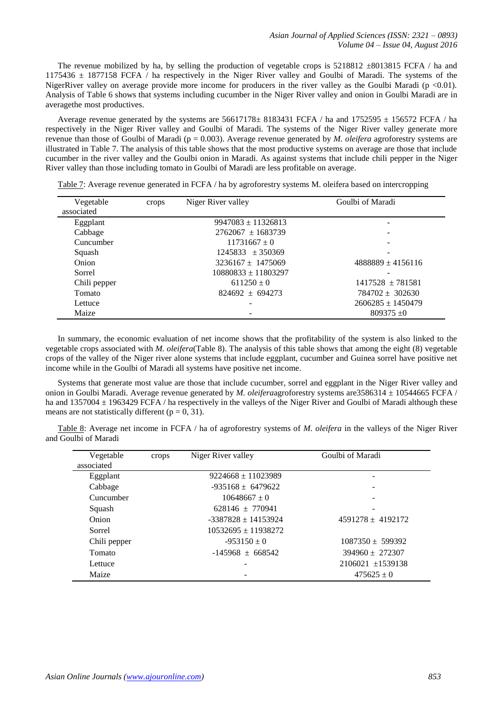The revenue mobilized by ha, by selling the production of vegetable crops is 5218812  $\pm$ 8013815 FCFA / ha and 1175436 ± 1877158 FCFA / ha respectively in the Niger River valley and Goulbi of Maradi. The systems of the NigerRiver valley on average provide more income for producers in the river valley as the Goulbi Maradi ( $p < 0.01$ ). Analysis of Table 6 shows that systems including cucumber in the Niger River valley and onion in Goulbi Maradi are in averagethe most productives.

Average revenue generated by the systems are  $56617178 \pm 8183431$  FCFA / ha and  $1752595 \pm 156572$  FCFA / ha respectively in the Niger River valley and Goulbi of Maradi. The systems of the Niger River valley generate more revenue than those of Goulbi of Maradi (p = 0.003). Average revenue generated by *M. oleifera* agroforestry systems are illustrated in Table 7. The analysis of this table shows that the most productive systems on average are those that include cucumber in the river valley and the Goulbi onion in Maradi. As against systems that include chili pepper in the Niger River valley than those including tomato in Goulbi of Maradi are less profitable on average.

| Vegetable<br>associated | crops | Niger River valley      | Goulbi of Maradi      |
|-------------------------|-------|-------------------------|-----------------------|
| Eggplant                |       | $9947083 \pm 11326813$  |                       |
| Cabbage                 |       | $2762067 + 1683739$     |                       |
| Cuncumber               |       | $11731667 + 0$          |                       |
| Squash                  |       | $1245833 \pm 350369$    |                       |
| Onion                   |       | $3236167 \pm 1475069$   | $4888889 \pm 4156116$ |
| Sorrel                  |       | $10880833 \pm 11803297$ |                       |
| Chili pepper            |       | $611250 \pm 0$          | $1417528 + 781581$    |
| Tomato                  |       | $824692 + 694273$       | $784702 + 302630$     |
| Lettuce                 |       |                         | $2606285 \pm 1450479$ |
| Maize                   |       |                         | $809375 + 0$          |

Table 7: Average revenue generated in FCFA / ha by agroforestry systems M. oleifera based on intercropping

In summary, the economic evaluation of net income shows that the profitability of the system is also linked to the vegetable crops associated with *M. oleifera*(Table 8). The analysis of this table shows that among the eight (8) vegetable crops of the valley of the Niger river alone systems that include eggplant, cucumber and Guinea sorrel have positive net income while in the Goulbi of Maradi all systems have positive net income.

Systems that generate most value are those that include cucumber, sorrel and eggplant in the Niger River valley and onion in Goulbi Maradi. Average revenue generated by *M. oleifera*agroforestry systems are3586314 ± 10544665 FCFA / ha and  $1357004 \pm 1963429$  FCFA / ha respectively in the valleys of the Niger River and Goulbi of Maradi although these means are not statistically different ( $p = 0$ , 31).

Table 8: Average net income in FCFA / ha of agroforestry systems of *M. oleifera* in the valleys of the Niger River and Goulbi of Maradi

| Vegetable    | crops | Niger River valley    | Goulbi of Maradi    |
|--------------|-------|-----------------------|---------------------|
| associated   |       |                       |                     |
| Eggplant     |       | $9224668 + 11023989$  |                     |
| Cabbage      |       | $-935168 \pm 6479622$ |                     |
| Cuncumber    |       | $10648667 \pm 0$      |                     |
| Squash       |       | $628146 + 770941$     |                     |
| Onion        |       | $-3387828 + 14153924$ | $4591278 + 4192172$ |
| Sorrel       |       | $10532695 + 11938272$ |                     |
| Chili pepper |       | $-953150 \pm 0$       | $1087350 + 599392$  |
| Tomato       |       | $-145968 + 668542$    | $394960 \pm 272307$ |
| Lettuce      |       |                       | $2106021 + 1539138$ |
| Maize        |       |                       | $475625 \pm 0$      |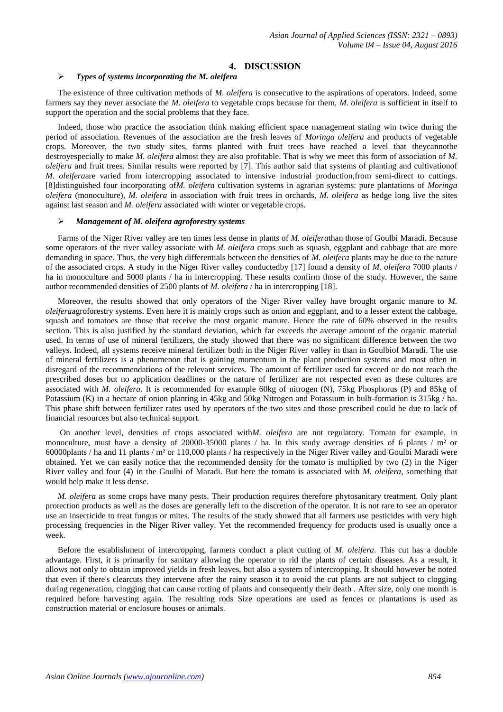# **4. DISCUSSION**

#### *Types of systems incorporating the M. oleifera*

The existence of three cultivation methods of *M. oleifera* is consecutive to the aspirations of operators. Indeed, some farmers say they never associate the *M. oleifera* to vegetable crops because for them, *M. oleifera* is sufficient in itself to support the operation and the social problems that they face.

Indeed, those who practice the association think making efficient space management stating win twice during the period of association. Revenues of the association are the fresh leaves of *Moringa oleifera* and products of vegetable crops. Moreover, the two study sites, farms planted with fruit trees have reached a level that theycannotbe destroyespecially to make *M. oleifera* almost they are also profitable. That is why we meet this form of association of *M. oleifera* and fruit trees. Similar results were reported by [7]. This author said that systems of planting and cultivationof *M. oleifera*are varied from intercropping associated to intensive industrial production,from semi-direct to cuttings. [8]distinguished four incorporating of*M. oleifera* cultivation systems in agrarian systems: pure plantations of *Moringa oleifera* (monoculture), *M. oleifera* in association with fruit trees in orchards, *M. oleifera* as hedge long live the sites against last season and *M. oleifera* associated with winter or vegetable crops.

#### *Management of M. oleifera agroforestry systems*

Farms of the Niger River valley are ten times less dense in plants of *M. oleifera*than those of Goulbi Maradi. Because some operators of the river valley associate with *M. oleifera* crops such as squash, eggplant and cabbage that are more demanding in space. Thus, the very high differentials between the densities of *M. oleifera* plants may be due to the nature of the associated crops. A study in the Niger River valley conductedby [17] found a density of *M. oleifera* 7000 plants / ha in monoculture and 5000 plants / ha in intercropping. These results confirm those of the study. However, the same author recommended densities of 2500 plants of *M. oleifera* / ha in intercropping [18].

Moreover, the results showed that only operators of the Niger River valley have brought organic manure to *M. oleifera*agroforestry systems. Even here it is mainly crops such as onion and eggplant, and to a lesser extent the cabbage, squash and tomatoes are those that receive the most organic manure. Hence the rate of 60% observed in the results section. This is also justified by the standard deviation, which far exceeds the average amount of the organic material used. In terms of use of mineral fertilizers, the study showed that there was no significant difference between the two valleys. Indeed, all systems receive mineral fertilizer both in the Niger River valley in than in Goulbiof Maradi. The use of mineral fertilizers is a phenomenon that is gaining momentum in the plant production systems and most often in disregard of the recommendations of the relevant services. The amount of fertilizer used far exceed or do not reach the prescribed doses but no application deadlines or the nature of fertilizer are not respected even as these cultures are associated with *M. oleifera*. It is recommended for example 60kg of nitrogen (N), 75kg Phosphorus (P) and 85kg of Potassium (K) in a hectare of onion planting in 45kg and 50kg Nitrogen and Potassium in bulb-formation is 315kg / ha. This phase shift between fertilizer rates used by operators of the two sites and those prescribed could be due to lack of financial resources but also technical support.

On another level, densities of crops associated with*M. oleifera* are not regulatory. Tomato for example, in monoculture, must have a density of 20000-35000 plants / ha. In this study average densities of 6 plants /  $m<sup>2</sup>$  or 60000plants / ha and 11 plants / m² or 110,000 plants / ha respectively in the Niger River valley and Goulbi Maradi were obtained. Yet we can easily notice that the recommended density for the tomato is multiplied by two (2) in the Niger River valley and four (4) in the Goulbi of Maradi. But here the tomato is associated with *M. oleifera*, something that would help make it less dense.

*M. oleifera* as some crops have many pests. Their production requires therefore phytosanitary treatment. Only plant protection products as well as the doses are generally left to the discretion of the operator. It is not rare to see an operator use an insecticide to treat fungus or mites. The results of the study showed that all farmers use pesticides with very high processing frequencies in the Niger River valley. Yet the recommended frequency for products used is usually once a week.

Before the establishment of intercropping, farmers conduct a plant cutting of *M. oleifera*. This cut has a double advantage. First, it is primarily for sanitary allowing the operator to rid the plants of certain diseases. As a result, it allows not only to obtain improved yields in fresh leaves, but also a system of intercropping. It should however be noted that even if there's clearcuts they intervene after the rainy season it to avoid the cut plants are not subject to clogging during regeneration, clogging that can cause rotting of plants and consequently their death . After size, only one month is required before harvesting again. The resulting rods Size operations are used as fences or plantations is used as construction material or enclosure houses or animals.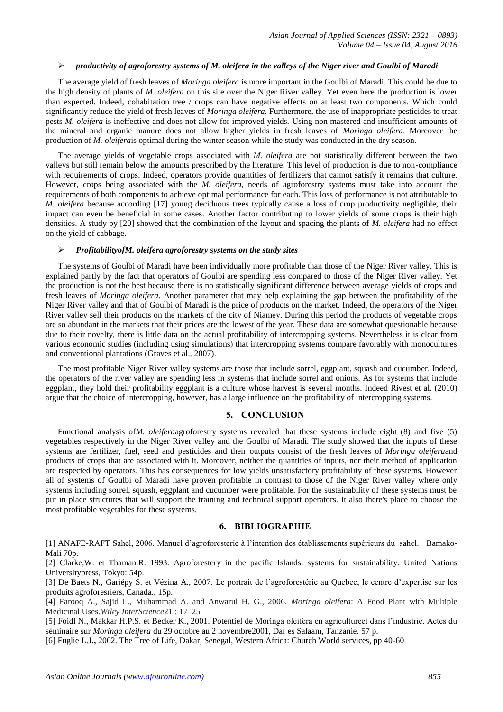#### *productivity of agroforestry systems of M. oleifera in the valleys of the Niger river and Goulbi of Maradi*

The average yield of fresh leaves of *Moringa oleifera* is more important in the Goulbi of Maradi. This could be due to the high density of plants of *M. oleifera* on this site over the Niger River valley. Yet even here the production is lower than expected. Indeed, cohabitation tree / crops can have negative effects on at least two components. Which could significantly reduce the yield of fresh leaves of *Moringa oleifera*. Furthermore, the use of inappropriate pesticides to treat pests *M. oleifera* is ineffective and does not allow for improved yields. Using non mastered and insufficient amounts of the mineral and organic manure does not allow higher yields in fresh leaves of *Moringa oleifera*. Moreover the production of *M. oleifera*is optimal during the winter season while the study was conducted in the dry season.

The average yields of vegetable crops associated with *M. oleifera* are not statistically different between the two valleys but still remain below the amounts prescribed by the literature. This level of production is due to non-compliance with requirements of crops. Indeed, operators provide quantities of fertilizers that cannot satisfy it remains that culture. However, crops being associated with the *M. oleifera*, needs of agroforestry systems must take into account the requirements of both components to achieve optimal performance for each. This loss of performance is not attributable to *M. oleifera* because according [17] young deciduous trees typically cause a loss of crop productivity negligible, their impact can even be beneficial in some cases. Another factor contributing to lower yields of some crops is their high densities. A study by [20] showed that the combination of the layout and spacing the plants of *M. oleifera* had no effect on the yield of cabbage.

#### *ProfitabilityofM. oleifera agroforestry systems on the study sites*

The systems of Goulbi of Maradi have been individually more profitable than those of the Niger River valley. This is explained partly by the fact that operators of Goulbi are spending less compared to those of the Niger River valley. Yet the production is not the best because there is no statistically significant difference between average yields of crops and fresh leaves of *Moringa oleifera*. Another parameter that may help explaining the gap between the profitability of the Niger River valley and that of Goulbi of Maradi is the price of products on the market. Indeed, the operators of the Niger River valley sell their products on the markets of the city of Niamey. During this period the products of vegetable crops are so abundant in the markets that their prices are the lowest of the year. These data are somewhat questionable because due to their novelty, there is little data on the actual profitability of intercropping systems. Nevertheless it is clear from various economic studies (including using simulations) that intercropping systems compare favorably with monocultures and conventional plantations (Graves et al., 2007).

The most profitable Niger River valley systems are those that include sorrel, eggplant, squash and cucumber. Indeed, the operators of the river valley are spending less in systems that include sorrel and onions. As for systems that include eggplant, they hold their profitability eggplant is a culture whose harvest is several months. Indeed Rivest et al. (2010) argue that the choice of intercropping, however, has a large influence on the profitability of intercropping systems.

## **5. CONCLUSION**

Functional analysis of*M. oleifera*agroforestry systems revealed that these systems include eight (8) and five (5) vegetables respectively in the Niger River valley and the Goulbi of Maradi. The study showed that the inputs of these systems are fertilizer, fuel, seed and pesticides and their outputs consist of the fresh leaves of *Moringa oleifera*and products of crops that are associated with it. Moreover, neither the quantities of inputs, nor their method of application are respected by operators. This has consequences for low yields unsatisfactory profitability of these systems. However all of systems of Goulbi of Maradi have proven profitable in contrast to those of the Niger River valley where only systems including sorrel, squash, eggplant and cucumber were profitable. For the sustainability of these systems must be put in place structures that will support the training and technical support operators. It also there's place to choose the most profitable vegetables for these systems.

## **6. BIBLIOGRAPHIE**

[1] ANAFE-RAFT Sahel, 2006. Manuel d'agroforesterie à l'intention des établissements supérieurs du sahel. Bamako-Mali 70p.

[2] Clarke,W. et Thaman.R. 1993. Agroforestery in the pacific Islands: systems for sustainability. United Nations Universitypress, Tokyo: 54p.

[3] De Baets N., Gariépy S. et Vézina A., 2007. Le portrait de l'agroforestérie au Quebec, le centre d'expertise sur les produits agroforesriers, Canada., 15p.

[4] Farooq A., Sajid L., Muhammad A. and Anwarul H. G., 2006. *Moringa oleifera*: A Food Plant with Multiple Medicinal Uses.*Wiley InterScience*21 : 17–25

[5] Foidl N., Makkar H.P.S. et Becker K., 2001. Potentiel de Moringa oleifera en agricultureet dans l'industrie. Actes du séminaire sur *Moringa oleifera* du 29 octobre au 2 novembre2001, Dar es Salaam, Tanzanie. 57 p.

[6] Fuglie L.J**.,** 2002. The Tree of Life, Dakar, Senegal, Western Africa: Church World services, pp 40-60